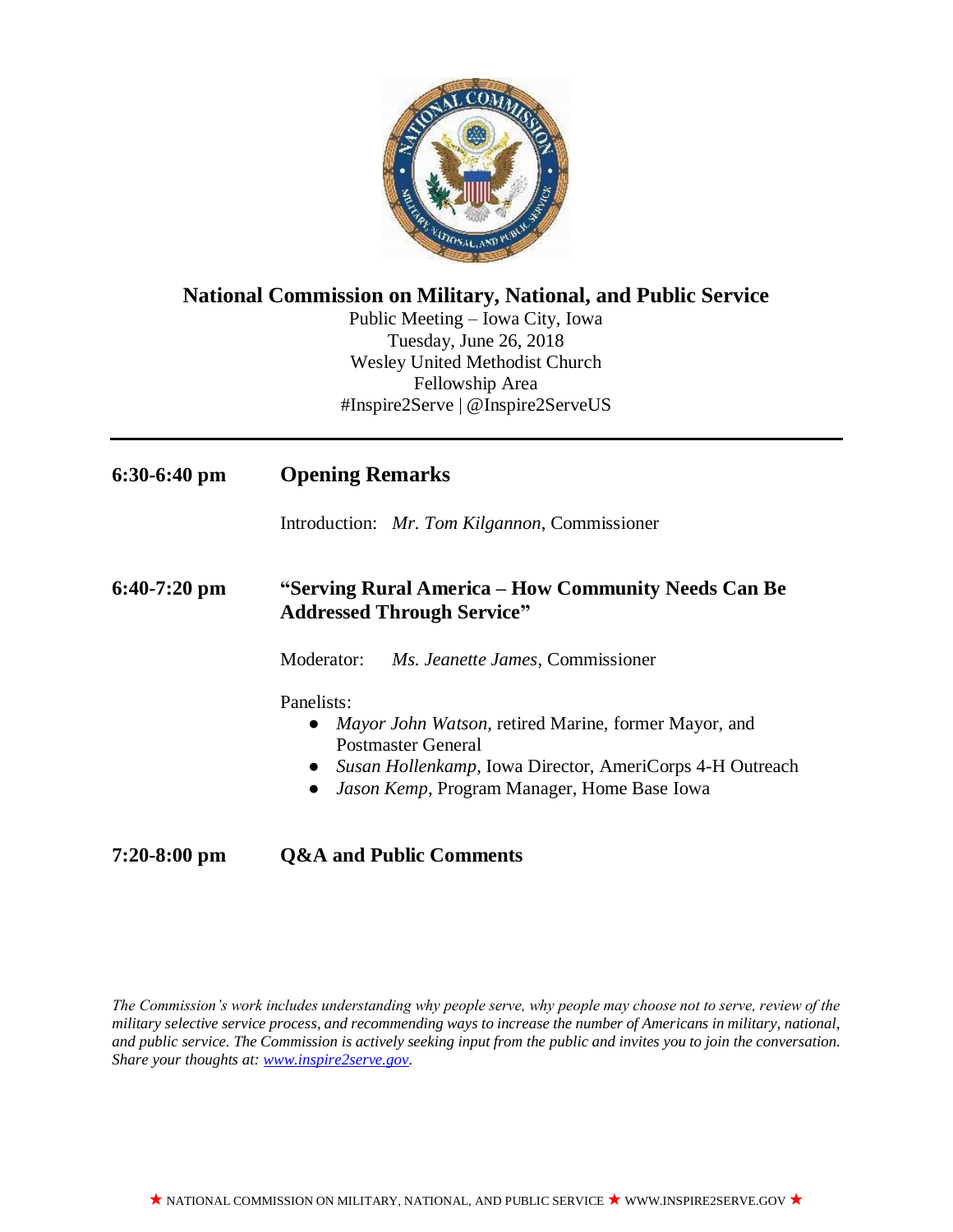

### **National Commission on Military, National, and Public Service**

Public Meeting – Iowa City, Iowa Tuesday, June 26, 2018 Wesley United Methodist Church Fellowship Area #Inspire2Serve | @Inspire2ServeUS

# **6:30-6:40 pm Opening Remarks**

Introduction: *Mr. Tom Kilgannon*, Commissioner

#### **6:40-7:20 pm "Serving Rural America – How Community Needs Can Be Addressed Through Service"**

Moderator: *Ms. Jeanette James,* Commissioner

Panelists:

- *Mayor John Watson,* retired Marine, former Mayor, and Postmaster General
- *Susan Hollenkamp*, Iowa Director, AmeriCorps 4-H Outreach
- *Jason Kemp*, Program Manager, Home Base Iowa

# **7:20-8:00 pm Q&A and Public Comments**

*The Commission's work includes understanding why people serve, why people may choose not to serve, review of the military selective service process, and recommending ways to increase the number of Americans in military, national, and public service. The Commission is actively seeking input from the public and invites you to join the conversation. Share your thoughts at: [www.inspire2serve.gov.](http://www.inspire2serve.gov/)*